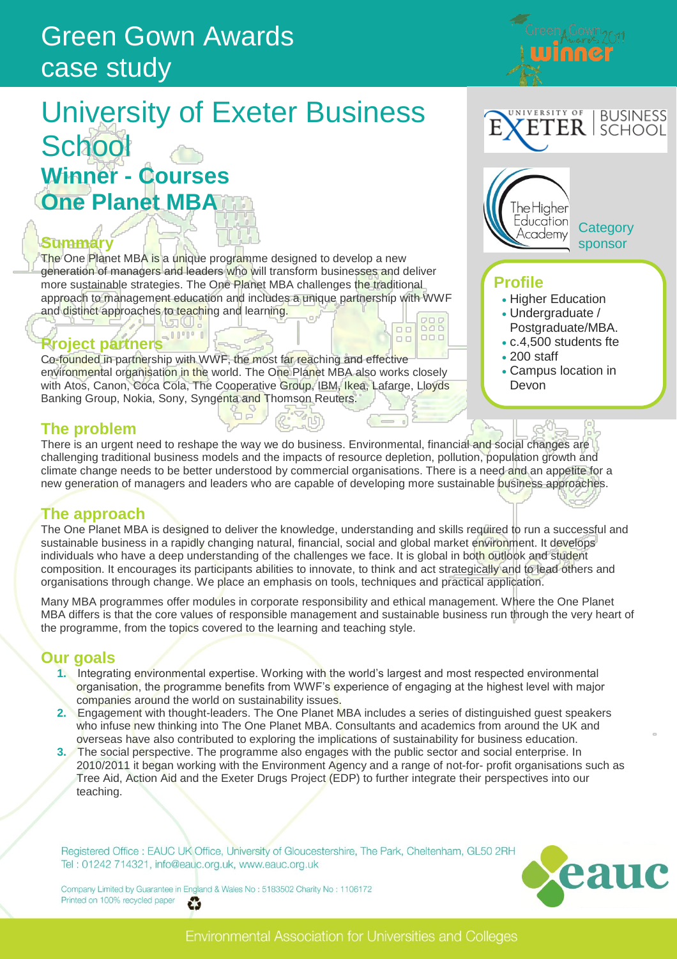# Green Gown Awards case study

# University of Exeter Business **School Winner - Courses One Planet MBA**

### **Summary**

The One Planet MBA is a unique programme designed to develop a new generation of managers and leaders who will transform businesses and deliver more sustainable strategies. The One Planet MBA challenges the traditional approach to management education and includes a unique partnership with WWF and distinct approaches to teaching and learning.

# **Project partners**

Co-founded in partnership with WWF, the most far reaching and effective environmental organisation in the world. The One Planet MBA also works closely with Atos, Canon, Coca Cola, The Cooperative Group, IBM, Ikea, Lafarge, Lloyds Banking Group, Nokia, Sony, Syngenta and Thomson Reuters.

### **The problem**

There is an urgent need to reshape the way we do business. Environmental, financial and social changes are challenging traditional business models and the impacts of resource depletion, pollution, population growth and climate change needs to be better understood by commercial organisations. There is a need and an appetite for a new generation of managers and leaders who are capable of developing more sustainable business approaches.

# **The approach**

The One Planet MBA is designed to deliver the knowledge, understanding and skills required to run a successful and sustainable business in a rapidly changing natural, financial, social and global market environment. It develops individuals who have a deep understanding of the challenges we face. It is global in both outlook and student composition. It encourages its participants abilities to innovate, to think and act strategically and to lead others and organisations through change. We place an emphasis on tools, techniques and practical application.

Many MBA programmes offer modules in corporate responsibility and ethical management. Where the One Planet MBA differs is that the core values of responsible management and sustainable business run through the very heart of the programme, from the topics covered to the learning and teaching style.

### **Our goals**

- **1.** Integrating environmental expertise. Working with the world's largest and most respected environmental organisation, the programme benefits from WWF's experience of engaging at the highest level with major companies around the world on sustainability issues.
- **2.** Engagement with thought-leaders. The One Planet MBA includes a series of distinguished guest speakers who infuse new thinking into The One Planet MBA. Consultants and academics from around the UK and overseas have also contributed to exploring the implications of sustainability for business education.
- **3.** The social perspective. The programme also engages with the public sector and social enterprise. In 2010/2011 it began working with the Environment Agency and a range of not-for- profit organisations such as Tree Aid, Action Aid and the Exeter Drugs Project (EDP) to further integrate their perspectives into our teaching.

Registered Office : EAUC UK Office, University of Gloucestershire, The Park, Cheltenham, GL50 2RH Tel: 01242 714321, info@eauc.org.uk, www.eauc.org.uk

Company Limited by Guarantee in England & Wales No: 5183502 Charity No: 1106172 Printed on 100% recycled paper £3



#### VERSITY OF **BUSINESS** ETER I SCHOOL

een Cown<sub>2011</sub>



**Category** sponsor

### **Profile**

- Higher Education
- Undergraduate /
- Postgraduate/MBA. c.4,500 students fte
- 200 staff
- Campus location in Devon